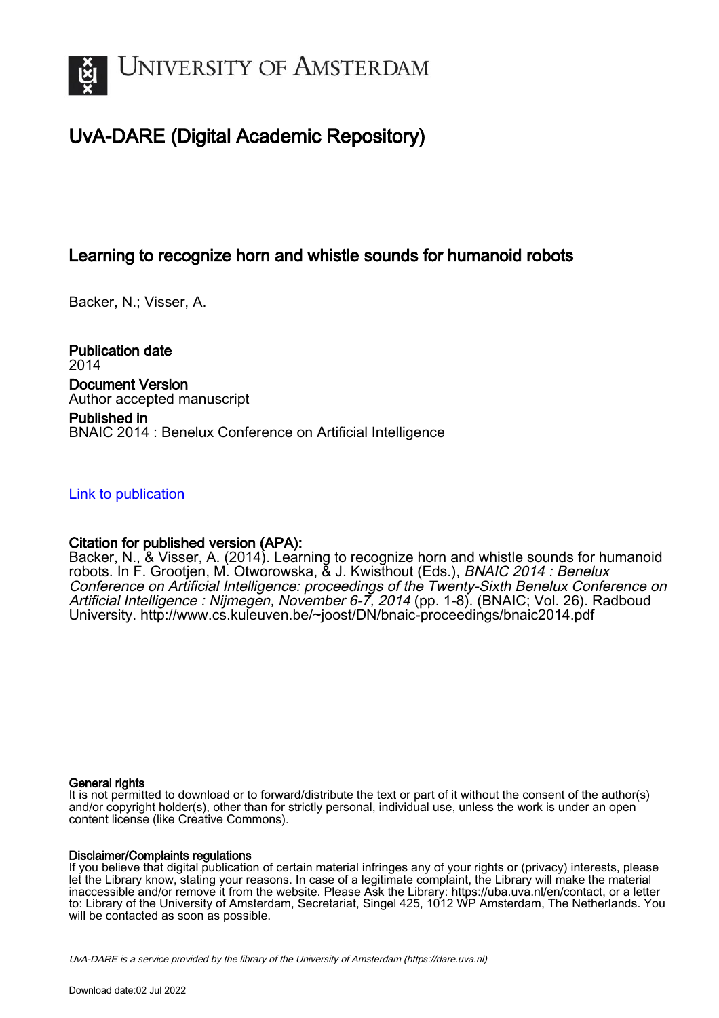

# UvA-DARE (Digital Academic Repository)

# Learning to recognize horn and whistle sounds for humanoid robots

Backer, N.; Visser, A.

Publication date 2014 Document Version Author accepted manuscript

Published in BNAIC 2014 : Benelux Conference on Artificial Intelligence

# [Link to publication](https://dare.uva.nl/personal/pure/en/publications/learning-to-recognize-horn-and-whistle-sounds-for-humanoid-robots(c6130f5d-f7d7-41f5-bc57-9870b65a2b3d).html)

# Citation for published version (APA):

Backer, N., & Visser, A. (2014). Learning to recognize horn and whistle sounds for humanoid robots. In F. Grootjen, M. Otworowska, & J. Kwisthout (Eds.), BNAIC 2014 : Benelux Conference on Artificial Intelligence: proceedings of the Twenty-Sixth Benelux Conference on Artificial Intelligence : Nijmegen, November 6-7, 2014 (pp. 1-8). (BNAIC; Vol. 26). Radboud University.<http://www.cs.kuleuven.be/~joost/DN/bnaic-proceedings/bnaic2014.pdf>

## General rights

It is not permitted to download or to forward/distribute the text or part of it without the consent of the author(s) and/or copyright holder(s), other than for strictly personal, individual use, unless the work is under an open content license (like Creative Commons).

## Disclaimer/Complaints regulations

If you believe that digital publication of certain material infringes any of your rights or (privacy) interests, please let the Library know, stating your reasons. In case of a legitimate complaint, the Library will make the material inaccessible and/or remove it from the website. Please Ask the Library: https://uba.uva.nl/en/contact, or a letter to: Library of the University of Amsterdam, Secretariat, Singel 425, 1012 WP Amsterdam, The Netherlands. You will be contacted as soon as possible.

UvA-DARE is a service provided by the library of the University of Amsterdam (http*s*://dare.uva.nl)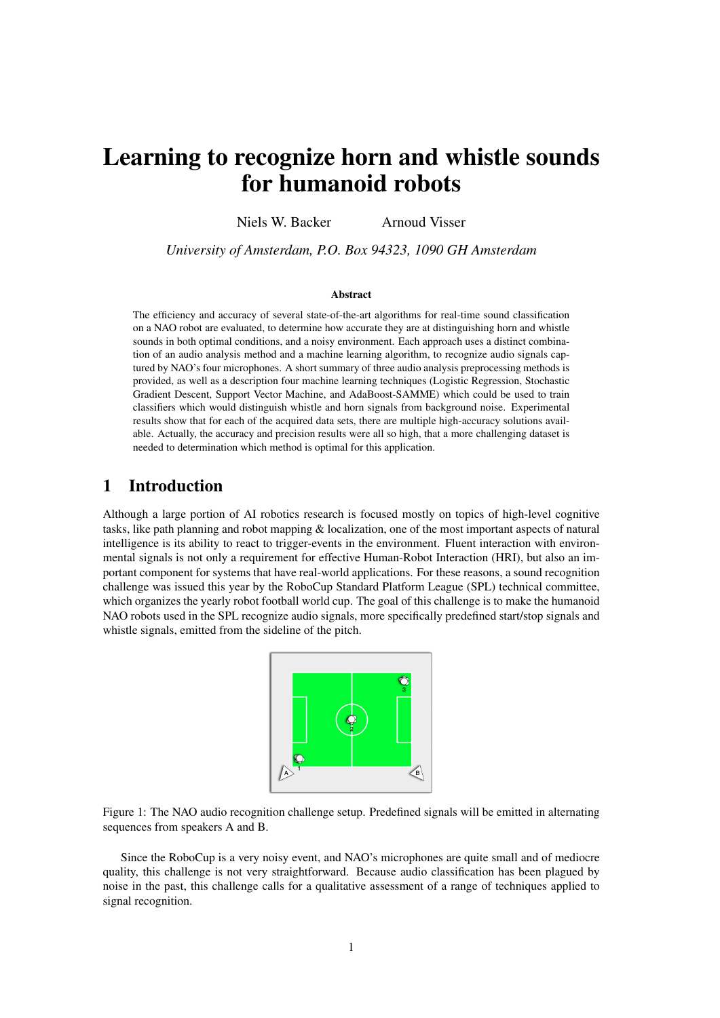# Learning to recognize horn and whistle sounds for humanoid robots

Niels W. Backer Arnoud Visser

*University of Amsterdam, P.O. Box 94323, 1090 GH Amsterdam*

#### Abstract

The efficiency and accuracy of several state-of-the-art algorithms for real-time sound classification on a NAO robot are evaluated, to determine how accurate they are at distinguishing horn and whistle sounds in both optimal conditions, and a noisy environment. Each approach uses a distinct combination of an audio analysis method and a machine learning algorithm, to recognize audio signals captured by NAO's four microphones. A short summary of three audio analysis preprocessing methods is provided, as well as a description four machine learning techniques (Logistic Regression, Stochastic Gradient Descent, Support Vector Machine, and AdaBoost-SAMME) which could be used to train classifiers which would distinguish whistle and horn signals from background noise. Experimental results show that for each of the acquired data sets, there are multiple high-accuracy solutions available. Actually, the accuracy and precision results were all so high, that a more challenging dataset is needed to determination which method is optimal for this application.

# 1 Introduction

Although a large portion of AI robotics research is focused mostly on topics of high-level cognitive tasks, like path planning and robot mapping & localization, one of the most important aspects of natural intelligence is its ability to react to trigger-events in the environment. Fluent interaction with environmental signals is not only a requirement for effective Human-Robot Interaction (HRI), but also an important component for systems that have real-world applications. For these reasons, a sound recognition challenge was issued this year by the RoboCup Standard Platform League (SPL) technical committee, which organizes the yearly robot football world cup. The goal of this challenge is to make the humanoid NAO robots used in the SPL recognize audio signals, more specifically predefined start/stop signals and whistle signals, emitted from the sideline of the pitch.



Figure 1: The NAO audio recognition challenge setup. Predefined signals will be emitted in alternating sequences from speakers A and B.

Since the RoboCup is a very noisy event, and NAO's microphones are quite small and of mediocre quality, this challenge is not very straightforward. Because audio classification has been plagued by noise in the past, this challenge calls for a qualitative assessment of a range of techniques applied to signal recognition.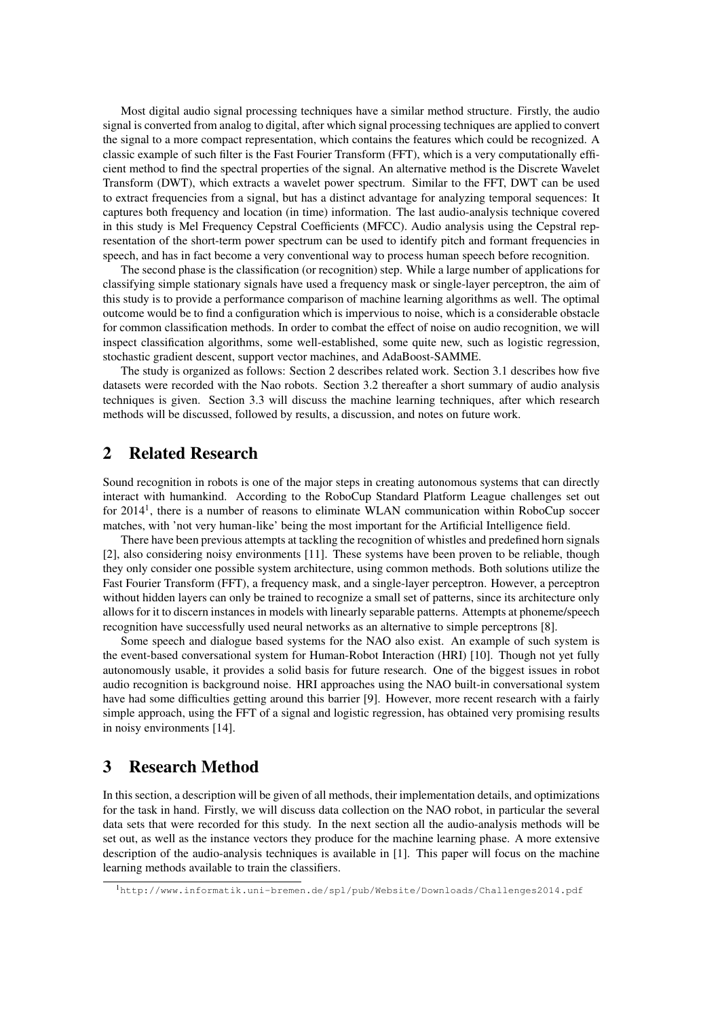Most digital audio signal processing techniques have a similar method structure. Firstly, the audio signal is converted from analog to digital, after which signal processing techniques are applied to convert the signal to a more compact representation, which contains the features which could be recognized. A classic example of such filter is the Fast Fourier Transform (FFT), which is a very computationally efficient method to find the spectral properties of the signal. An alternative method is the Discrete Wavelet Transform (DWT), which extracts a wavelet power spectrum. Similar to the FFT, DWT can be used to extract frequencies from a signal, but has a distinct advantage for analyzing temporal sequences: It captures both frequency and location (in time) information. The last audio-analysis technique covered in this study is Mel Frequency Cepstral Coefficients (MFCC). Audio analysis using the Cepstral representation of the short-term power spectrum can be used to identify pitch and formant frequencies in speech, and has in fact become a very conventional way to process human speech before recognition.

The second phase is the classification (or recognition) step. While a large number of applications for classifying simple stationary signals have used a frequency mask or single-layer perceptron, the aim of this study is to provide a performance comparison of machine learning algorithms as well. The optimal outcome would be to find a configuration which is impervious to noise, which is a considerable obstacle for common classification methods. In order to combat the effect of noise on audio recognition, we will inspect classification algorithms, some well-established, some quite new, such as logistic regression, stochastic gradient descent, support vector machines, and AdaBoost-SAMME.

The study is organized as follows: Section 2 describes related work. Section 3.1 describes how five datasets were recorded with the Nao robots. Section 3.2 thereafter a short summary of audio analysis techniques is given. Section 3.3 will discuss the machine learning techniques, after which research methods will be discussed, followed by results, a discussion, and notes on future work.

# 2 Related Research

Sound recognition in robots is one of the major steps in creating autonomous systems that can directly interact with humankind. According to the RoboCup Standard Platform League challenges set out for 2014<sup>1</sup>, there is a number of reasons to eliminate WLAN communication within RoboCup soccer matches, with 'not very human-like' being the most important for the Artificial Intelligence field.

There have been previous attempts at tackling the recognition of whistles and predefined horn signals [2], also considering noisy environments [11]. These systems have been proven to be reliable, though they only consider one possible system architecture, using common methods. Both solutions utilize the Fast Fourier Transform (FFT), a frequency mask, and a single-layer perceptron. However, a perceptron without hidden layers can only be trained to recognize a small set of patterns, since its architecture only allows for it to discern instances in models with linearly separable patterns. Attempts at phoneme/speech recognition have successfully used neural networks as an alternative to simple perceptrons [8].

Some speech and dialogue based systems for the NAO also exist. An example of such system is the event-based conversational system for Human-Robot Interaction (HRI) [10]. Though not yet fully autonomously usable, it provides a solid basis for future research. One of the biggest issues in robot audio recognition is background noise. HRI approaches using the NAO built-in conversational system have had some difficulties getting around this barrier [9]. However, more recent research with a fairly simple approach, using the FFT of a signal and logistic regression, has obtained very promising results in noisy environments [14].

## 3 Research Method

In this section, a description will be given of all methods, their implementation details, and optimizations for the task in hand. Firstly, we will discuss data collection on the NAO robot, in particular the several data sets that were recorded for this study. In the next section all the audio-analysis methods will be set out, as well as the instance vectors they produce for the machine learning phase. A more extensive description of the audio-analysis techniques is available in [1]. This paper will focus on the machine learning methods available to train the classifiers.

<sup>1</sup>http://www.informatik.uni-bremen.de/spl/pub/Website/Downloads/Challenges2014.pdf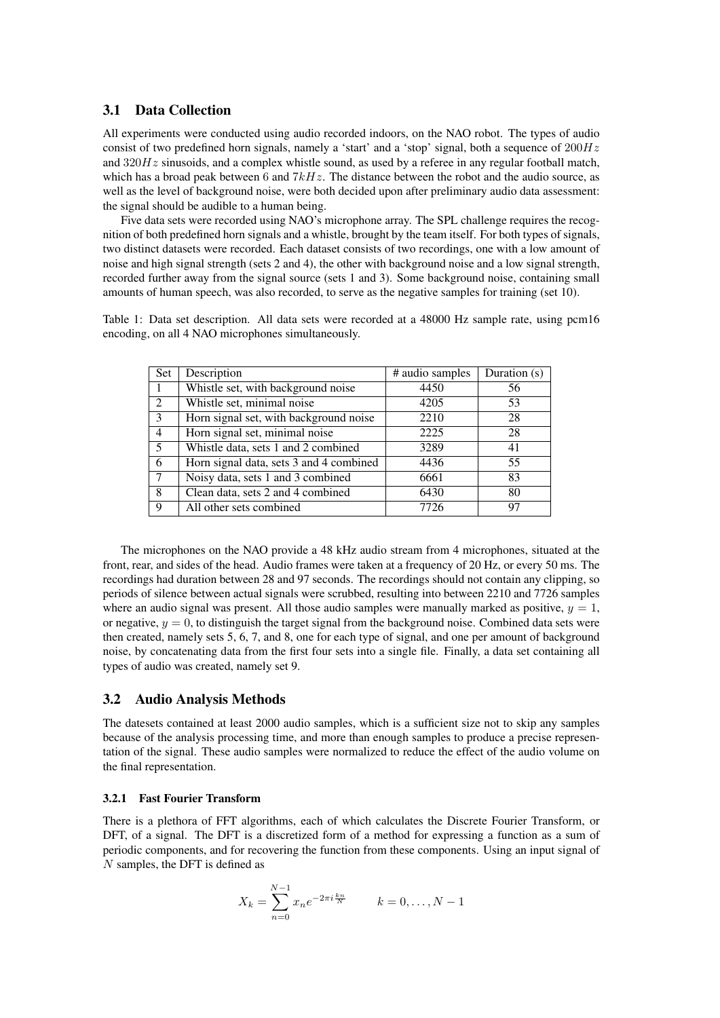## 3.1 Data Collection

All experiments were conducted using audio recorded indoors, on the NAO robot. The types of audio consist of two predefined horn signals, namely a 'start' and a 'stop' signal, both a sequence of  $200Hz$ and  $320Hz$  sinusoids, and a complex whistle sound, as used by a referee in any regular football match, which has a broad peak between 6 and  $7kHz$ . The distance between the robot and the audio source, as well as the level of background noise, were both decided upon after preliminary audio data assessment: the signal should be audible to a human being.

Five data sets were recorded using NAO's microphone array. The SPL challenge requires the recognition of both predefined horn signals and a whistle, brought by the team itself. For both types of signals, two distinct datasets were recorded. Each dataset consists of two recordings, one with a low amount of noise and high signal strength (sets 2 and 4), the other with background noise and a low signal strength, recorded further away from the signal source (sets 1 and 3). Some background noise, containing small amounts of human speech, was also recorded, to serve as the negative samples for training (set 10).

Table 1: Data set description. All data sets were recorded at a 48000 Hz sample rate, using pcm16 encoding, on all 4 NAO microphones simultaneously.

| Set            | Description                             | # audio samples | Duration (s) |
|----------------|-----------------------------------------|-----------------|--------------|
|                | Whistle set, with background noise      | 4450            | 56           |
| $\overline{2}$ | Whistle set, minimal noise              | 4205            | 53           |
| 3              | Horn signal set, with background noise  | 2210            | 28           |
| $\overline{4}$ | Horn signal set, minimal noise          | 2225            | 28           |
| 5              | Whistle data, sets 1 and 2 combined     | 3289            | 41           |
| 6              | Horn signal data, sets 3 and 4 combined | 4436            | 55           |
| 7              | Noisy data, sets 1 and 3 combined       | 6661            | 83           |
| 8              | Clean data, sets 2 and 4 combined       | 6430            | 80           |
| 9              | All other sets combined                 | 7726            | 97           |

The microphones on the NAO provide a 48 kHz audio stream from 4 microphones, situated at the front, rear, and sides of the head. Audio frames were taken at a frequency of 20 Hz, or every 50 ms. The recordings had duration between 28 and 97 seconds. The recordings should not contain any clipping, so periods of silence between actual signals were scrubbed, resulting into between 2210 and 7726 samples where an audio signal was present. All those audio samples were manually marked as positive,  $y = 1$ . or negative,  $y = 0$ , to distinguish the target signal from the background noise. Combined data sets were then created, namely sets 5, 6, 7, and 8, one for each type of signal, and one per amount of background noise, by concatenating data from the first four sets into a single file. Finally, a data set containing all types of audio was created, namely set 9.

## 3.2 Audio Analysis Methods

The datesets contained at least 2000 audio samples, which is a sufficient size not to skip any samples because of the analysis processing time, and more than enough samples to produce a precise representation of the signal. These audio samples were normalized to reduce the effect of the audio volume on the final representation.

#### 3.2.1 Fast Fourier Transform

There is a plethora of FFT algorithms, each of which calculates the Discrete Fourier Transform, or DFT, of a signal. The DFT is a discretized form of a method for expressing a function as a sum of periodic components, and for recovering the function from these components. Using an input signal of N samples, the DFT is defined as

$$
X_k = \sum_{n=0}^{N-1} x_n e^{-2\pi i \frac{k_n}{N}} \qquad k = 0, \dots, N-1
$$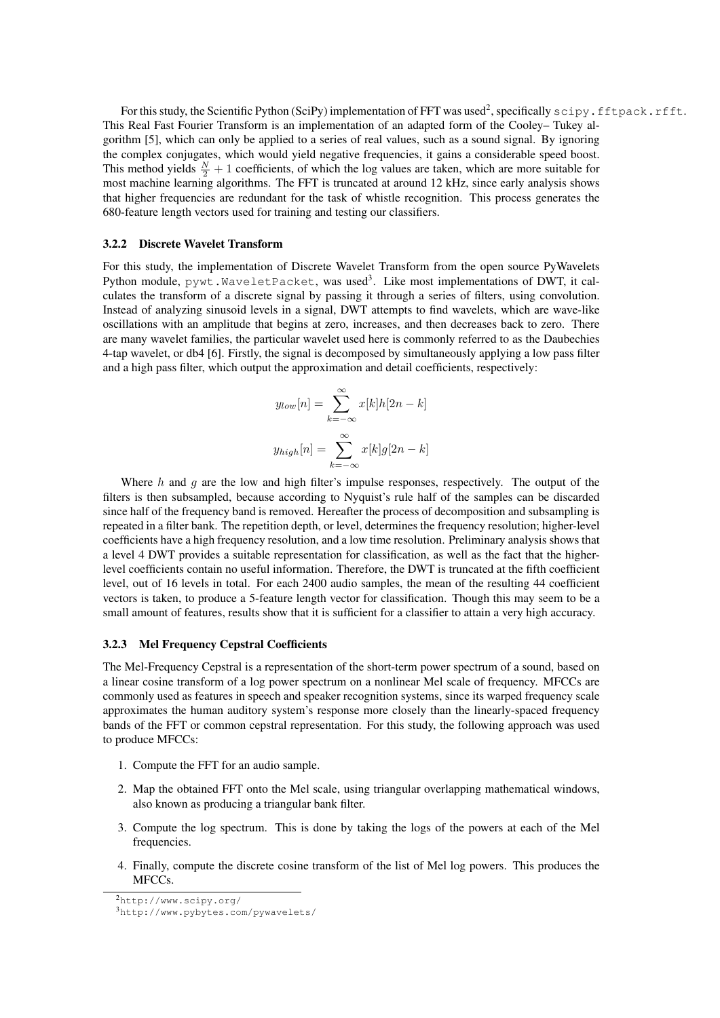For this study, the Scientific Python (SciPy) implementation of FFT was used<sup>2</sup>, specifically  $\texttt{scipy.fftpack.rfft.}$ This Real Fast Fourier Transform is an implementation of an adapted form of the Cooley– Tukey algorithm [5], which can only be applied to a series of real values, such as a sound signal. By ignoring the complex conjugates, which would yield negative frequencies, it gains a considerable speed boost. This method yields  $\frac{N}{2} + 1$  coefficients, of which the log values are taken, which are more suitable for most machine learning algorithms. The FFT is truncated at around 12 kHz, since early analysis shows that higher frequencies are redundant for the task of whistle recognition. This process generates the 680-feature length vectors used for training and testing our classifiers.

### 3.2.2 Discrete Wavelet Transform

For this study, the implementation of Discrete Wavelet Transform from the open source PyWavelets Python module,  $\text{pywt}$  . <code>WaveletPacket</code>, was used $^3$ . Like most implementations of DWT, it calculates the transform of a discrete signal by passing it through a series of filters, using convolution. Instead of analyzing sinusoid levels in a signal, DWT attempts to find wavelets, which are wave-like oscillations with an amplitude that begins at zero, increases, and then decreases back to zero. There are many wavelet families, the particular wavelet used here is commonly referred to as the Daubechies 4-tap wavelet, or db4 [6]. Firstly, the signal is decomposed by simultaneously applying a low pass filter and a high pass filter, which output the approximation and detail coefficients, respectively:

$$
y_{low}[n] = \sum_{k=-\infty}^{\infty} x[k]h[2n-k]
$$

$$
y_{high}[n] = \sum_{k=-\infty}^{\infty} x[k]g[2n-k]
$$

Where  $h$  and  $g$  are the low and high filter's impulse responses, respectively. The output of the filters is then subsampled, because according to Nyquist's rule half of the samples can be discarded since half of the frequency band is removed. Hereafter the process of decomposition and subsampling is repeated in a filter bank. The repetition depth, or level, determines the frequency resolution; higher-level coefficients have a high frequency resolution, and a low time resolution. Preliminary analysis shows that a level 4 DWT provides a suitable representation for classification, as well as the fact that the higherlevel coefficients contain no useful information. Therefore, the DWT is truncated at the fifth coefficient level, out of 16 levels in total. For each 2400 audio samples, the mean of the resulting 44 coefficient vectors is taken, to produce a 5-feature length vector for classification. Though this may seem to be a small amount of features, results show that it is sufficient for a classifier to attain a very high accuracy.

#### 3.2.3 Mel Frequency Cepstral Coefficients

The Mel-Frequency Cepstral is a representation of the short-term power spectrum of a sound, based on a linear cosine transform of a log power spectrum on a nonlinear Mel scale of frequency. MFCCs are commonly used as features in speech and speaker recognition systems, since its warped frequency scale approximates the human auditory system's response more closely than the linearly-spaced frequency bands of the FFT or common cepstral representation. For this study, the following approach was used to produce MFCCs:

- 1. Compute the FFT for an audio sample.
- 2. Map the obtained FFT onto the Mel scale, using triangular overlapping mathematical windows, also known as producing a triangular bank filter.
- 3. Compute the log spectrum. This is done by taking the logs of the powers at each of the Mel frequencies.
- 4. Finally, compute the discrete cosine transform of the list of Mel log powers. This produces the MFCCs.

<sup>2</sup>http://www.scipy.org/

<sup>3</sup>http://www.pybytes.com/pywavelets/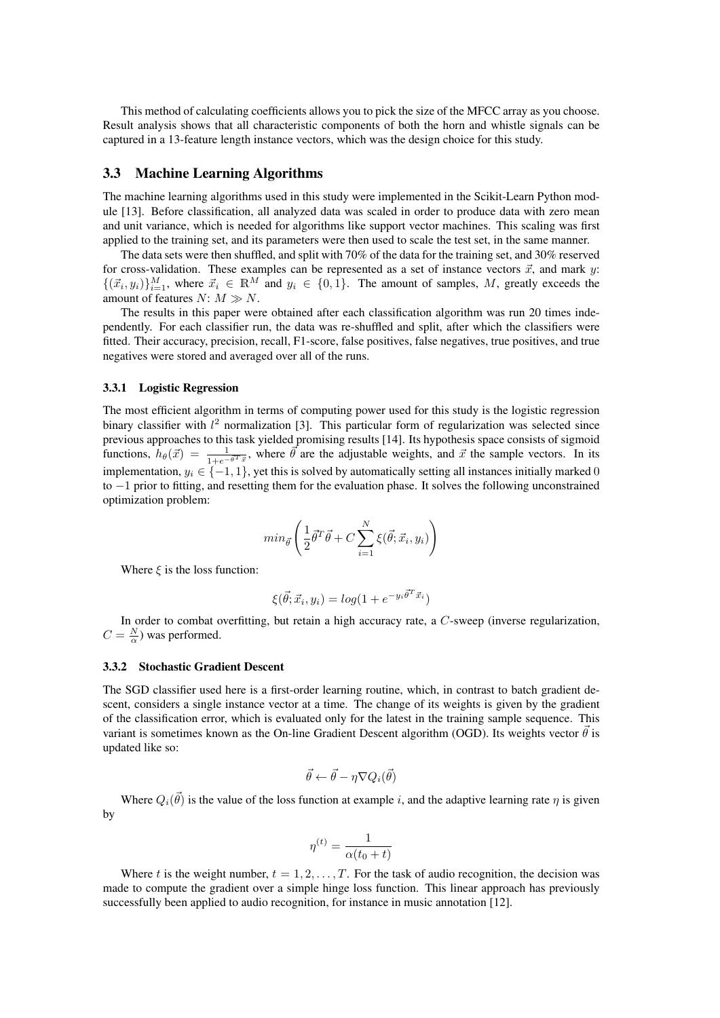This method of calculating coefficients allows you to pick the size of the MFCC array as you choose. Result analysis shows that all characteristic components of both the horn and whistle signals can be captured in a 13-feature length instance vectors, which was the design choice for this study.

## 3.3 Machine Learning Algorithms

The machine learning algorithms used in this study were implemented in the Scikit-Learn Python module [13]. Before classification, all analyzed data was scaled in order to produce data with zero mean and unit variance, which is needed for algorithms like support vector machines. This scaling was first applied to the training set, and its parameters were then used to scale the test set, in the same manner.

The data sets were then shuffled, and split with 70% of the data for the training set, and 30% reserved for cross-validation. These examples can be represented as a set of instance vectors  $\vec{x}$ , and mark y:  $\{(\vec{x}_i, y_i)\}_{i=1}^M$ , where  $\vec{x}_i \in \mathbb{R}^M$  and  $y_i \in \{0, 1\}$ . The amount of samples, M, greatly exceeds the amount of features  $N: M \gg N$ .

The results in this paper were obtained after each classification algorithm was run 20 times independently. For each classifier run, the data was re-shuffled and split, after which the classifiers were fitted. Their accuracy, precision, recall, F1-score, false positives, false negatives, true positives, and true negatives were stored and averaged over all of the runs.

#### 3.3.1 Logistic Regression

The most efficient algorithm in terms of computing power used for this study is the logistic regression binary classifier with  $l^2$  normalization [3]. This particular form of regularization was selected since previous approaches to this task yielded promising results [14]. Its hypothesis space consists of sigmoid functions,  $h_{\theta}(\vec{x}) = \frac{1}{1 + e^{-\vec{\theta}T}\vec{x}}$ , where  $\vec{\theta}$  are the adjustable weights, and  $\vec{x}$  the sample vectors. In its implementation,  $y_i \in \{-1, 1\}$ , yet this is solved by automatically setting all instances initially marked 0 to −1 prior to fitting, and resetting them for the evaluation phase. It solves the following unconstrained optimization problem:

$$
min_{\vec{\theta}} \left( \frac{1}{2} \vec{\theta}^T \vec{\theta} + C \sum_{i=1}^N \xi(\vec{\theta}; \vec{x}_i, y_i) \right)
$$

Where  $\xi$  is the loss function:

$$
\xi(\vec{\theta}; \vec{x}_i, y_i) = \log(1 + e^{-y_i \vec{\theta}^T \vec{x}_i})
$$

In order to combat overfitting, but retain a high accuracy rate, a C-sweep (inverse regularization,  $C = \frac{N}{\alpha}$ ) was performed.

### 3.3.2 Stochastic Gradient Descent

The SGD classifier used here is a first-order learning routine, which, in contrast to batch gradient descent, considers a single instance vector at a time. The change of its weights is given by the gradient of the classification error, which is evaluated only for the latest in the training sample sequence. This variant is sometimes known as the On-line Gradient Descent algorithm (OGD). Its weights vector  $\vec{\theta}$  is updated like so:

$$
\vec{\theta} \leftarrow \vec{\theta} - \eta \nabla Q_i(\vec{\theta})
$$

Where  $Q_i(\vec{\theta})$  is the value of the loss function at example i, and the adaptive learning rate  $\eta$  is given by

$$
\eta^{(t)} = \frac{1}{\alpha(t_0+t)}
$$

Where t is the weight number,  $t = 1, 2, \ldots, T$ . For the task of audio recognition, the decision was made to compute the gradient over a simple hinge loss function. This linear approach has previously successfully been applied to audio recognition, for instance in music annotation [12].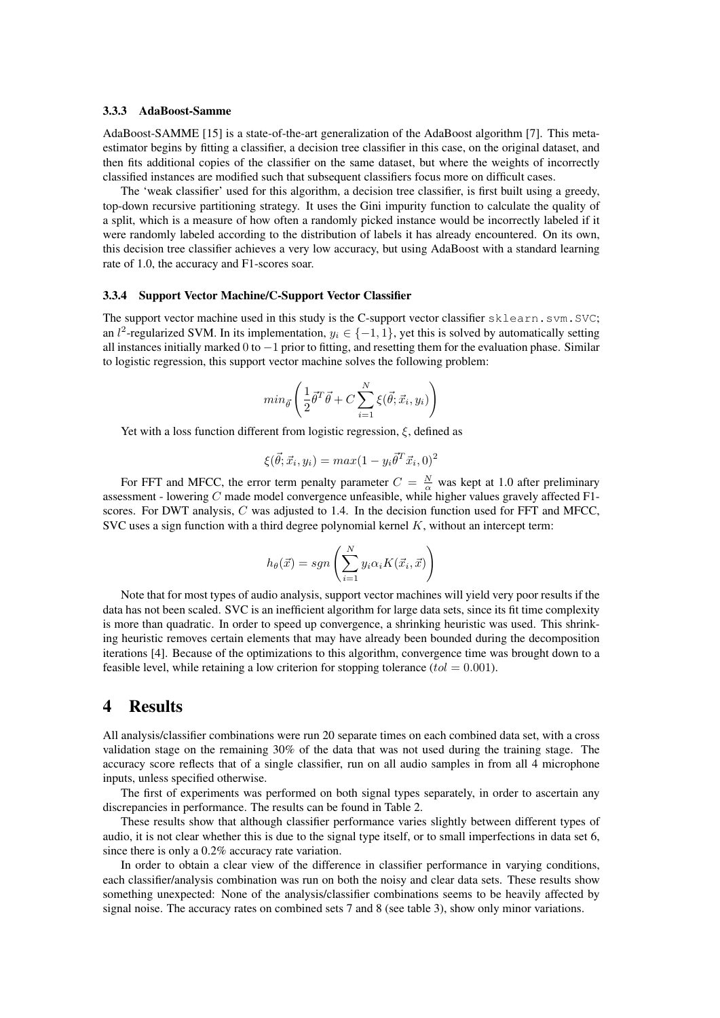#### 3.3.3 AdaBoost-Samme

AdaBoost-SAMME [15] is a state-of-the-art generalization of the AdaBoost algorithm [7]. This metaestimator begins by fitting a classifier, a decision tree classifier in this case, on the original dataset, and then fits additional copies of the classifier on the same dataset, but where the weights of incorrectly classified instances are modified such that subsequent classifiers focus more on difficult cases.

The 'weak classifier' used for this algorithm, a decision tree classifier, is first built using a greedy, top-down recursive partitioning strategy. It uses the Gini impurity function to calculate the quality of a split, which is a measure of how often a randomly picked instance would be incorrectly labeled if it were randomly labeled according to the distribution of labels it has already encountered. On its own, this decision tree classifier achieves a very low accuracy, but using AdaBoost with a standard learning rate of 1.0, the accuracy and F1-scores soar.

#### 3.3.4 Support Vector Machine/C-Support Vector Classifier

The support vector machine used in this study is the C-support vector classifier sklearn.svm.SVC; an l<sup>2</sup>-regularized SVM. In its implementation,  $y_i \in \{-1, 1\}$ , yet this is solved by automatically setting all instances initially marked 0 to −1 prior to fitting, and resetting them for the evaluation phase. Similar to logistic regression, this support vector machine solves the following problem:

$$
min_{\vec{\theta}} \left( \frac{1}{2} \vec{\theta}^T \vec{\theta} + C \sum_{i=1}^N \xi(\vec{\theta}; \vec{x}_i, y_i) \right)
$$

Yet with a loss function different from logistic regression,  $\xi$ , defined as

$$
\xi(\vec{\theta}; \vec{x}_i, y_i) = max(1 - y_i \vec{\theta}^T \vec{x}_i, 0)^2
$$

For FFT and MFCC, the error term penalty parameter  $C = \frac{N}{\alpha}$  was kept at 1.0 after preliminary assessment - lowering  $C$  made model convergence unfeasible, while higher values gravely affected F1scores. For DWT analysis,  $C$  was adjusted to 1.4. In the decision function used for FFT and MFCC. SVC uses a sign function with a third degree polynomial kernel  $K$ , without an intercept term:

$$
h_{\theta}(\vec{x}) = sgn\left(\sum_{i=1}^{N} y_i \alpha_i K(\vec{x}_i, \vec{x})\right)
$$

Note that for most types of audio analysis, support vector machines will yield very poor results if the data has not been scaled. SVC is an inefficient algorithm for large data sets, since its fit time complexity is more than quadratic. In order to speed up convergence, a shrinking heuristic was used. This shrinking heuristic removes certain elements that may have already been bounded during the decomposition iterations [4]. Because of the optimizations to this algorithm, convergence time was brought down to a feasible level, while retaining a low criterion for stopping tolerance  $(tol = 0.001)$ .

## 4 Results

All analysis/classifier combinations were run 20 separate times on each combined data set, with a cross validation stage on the remaining 30% of the data that was not used during the training stage. The accuracy score reflects that of a single classifier, run on all audio samples in from all 4 microphone inputs, unless specified otherwise.

The first of experiments was performed on both signal types separately, in order to ascertain any discrepancies in performance. The results can be found in Table 2.

These results show that although classifier performance varies slightly between different types of audio, it is not clear whether this is due to the signal type itself, or to small imperfections in data set 6, since there is only a 0.2% accuracy rate variation.

In order to obtain a clear view of the difference in classifier performance in varying conditions, each classifier/analysis combination was run on both the noisy and clear data sets. These results show something unexpected: None of the analysis/classifier combinations seems to be heavily affected by signal noise. The accuracy rates on combined sets 7 and 8 (see table 3), show only minor variations.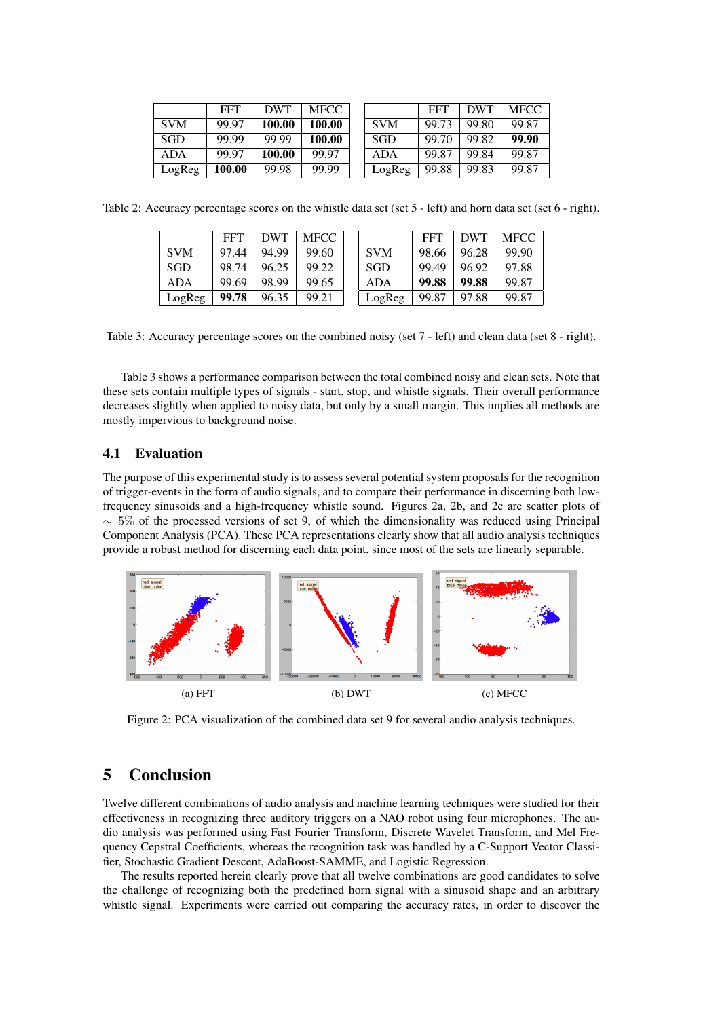|            | <b>FFT</b> | <b>DWT</b> | <b>MFCC</b> |                |
|------------|------------|------------|-------------|----------------|
| <b>SVM</b> | 99.97      | 100.00     | 100.00      | S'             |
| SGD        | 99.99      | 99.99      | 100.00      | S <sub>0</sub> |
| ADA        | 99.97      | 100.00     | 99.97       | A              |
| LogReg     | 100.00     | 99.98      | 99.99       | L٨             |

|            | FFT   | DWT   | MFCC  |
|------------|-------|-------|-------|
| <b>SVM</b> | 99.73 | 99.80 | 99.87 |
| SGD        | 99.70 | 99.82 | 99.90 |
| ADA        | 99.87 | 99.84 | 99.87 |
| LogReg     | 99.88 | 99.83 | 99.87 |

Table 2: Accuracy percentage scores on the whistle data set (set 5 - left) and horn data set (set 6 - right).

|            | <b>FFT</b> | <b>DWT</b> | <b>MFCC</b> |            | <b>FFT</b> | <b>DWT</b> | <b>MFCC</b> |
|------------|------------|------------|-------------|------------|------------|------------|-------------|
| <b>SVM</b> | 97.44      | 94.99      | 99.60       | <b>SVM</b> | 98.66      | 96.28      | 99.90       |
| <b>SGD</b> | 98.74      | 96.25      | 99.22       | <b>SGD</b> | 99.49      | 96.92      | 97.88       |
| <b>ADA</b> | 99.69      | 98.99      | 99.65       | <b>ADA</b> | 99.88      | 99.88      | 99.87       |
| LogReg     | 99.78      | 96.35      | 99.21       | LogReg     | 99.87      | 97.88      | 99.87       |

Table 3: Accuracy percentage scores on the combined noisy (set 7 - left) and clean data (set 8 - right).

Table 3 shows a performance comparison between the total combined noisy and clean sets. Note that these sets contain multiple types of signals - start, stop, and whistle signals. Their overall performance decreases slightly when applied to noisy data, but only by a small margin. This implies all methods are mostly impervious to background noise.

## 4.1 Evaluation

The purpose of this experimental study is to assess several potential system proposals for the recognition of trigger-events in the form of audio signals, and to compare their performance in discerning both lowfrequency sinusoids and a high-frequency whistle sound. Figures 2a, 2b, and 2c are scatter plots of  $\sim$  5% of the processed versions of set 9, of which the dimensionality was reduced using Principal Component Analysis (PCA). These PCA representations clearly show that all audio analysis techniques provide a robust method for discerning each data point, since most of the sets are linearly separable.



Figure 2: PCA visualization of the combined data set 9 for several audio analysis techniques.

# 5 Conclusion

Twelve different combinations of audio analysis and machine learning techniques were studied for their effectiveness in recognizing three auditory triggers on a NAO robot using four microphones. The audio analysis was performed using Fast Fourier Transform, Discrete Wavelet Transform, and Mel Frequency Cepstral Coefficients, whereas the recognition task was handled by a C-Support Vector Classifier, Stochastic Gradient Descent, AdaBoost-SAMME, and Logistic Regression.

The results reported herein clearly prove that all twelve combinations are good candidates to solve the challenge of recognizing both the predefined horn signal with a sinusoid shape and an arbitrary whistle signal. Experiments were carried out comparing the accuracy rates, in order to discover the